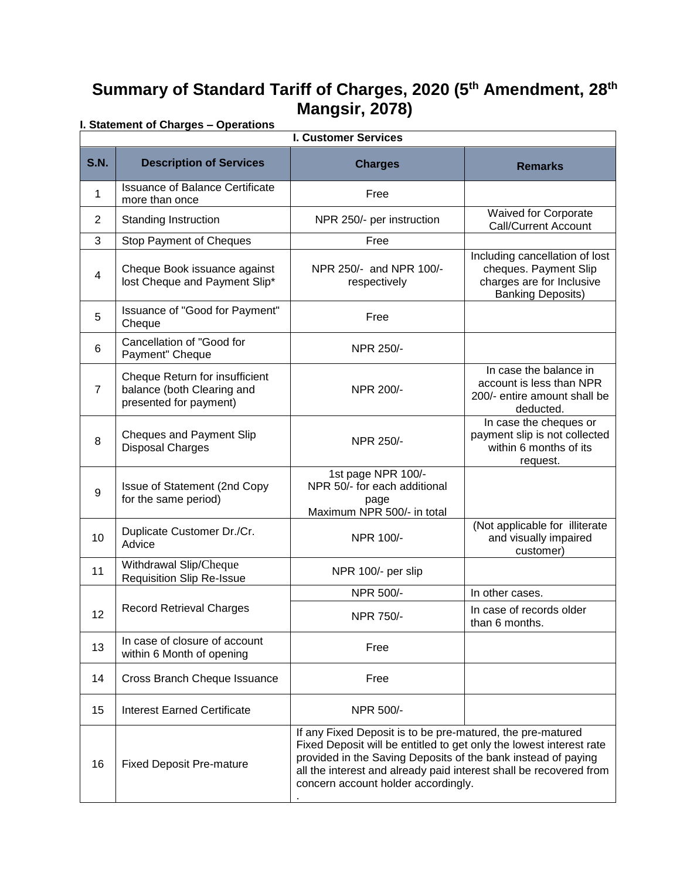# **Summary of Standard Tariff of Charges, 2020 (5 th Amendment, 28th Mangsir, 2078) I. Statement of Charges – Operations**

|                | i. Statement of Charges – Operations<br><b>I. Customer Services</b>                    |                                                                                                                                                                                                                                                                                                                 |                                                                                                                  |  |  |
|----------------|----------------------------------------------------------------------------------------|-----------------------------------------------------------------------------------------------------------------------------------------------------------------------------------------------------------------------------------------------------------------------------------------------------------------|------------------------------------------------------------------------------------------------------------------|--|--|
| <b>S.N.</b>    | <b>Description of Services</b>                                                         | <b>Charges</b>                                                                                                                                                                                                                                                                                                  | <b>Remarks</b>                                                                                                   |  |  |
| 1              | <b>Issuance of Balance Certificate</b><br>more than once                               | Free                                                                                                                                                                                                                                                                                                            |                                                                                                                  |  |  |
| $\overline{2}$ | <b>Standing Instruction</b>                                                            | NPR 250/- per instruction                                                                                                                                                                                                                                                                                       | <b>Waived for Corporate</b><br><b>Call/Current Account</b>                                                       |  |  |
| 3              | Stop Payment of Cheques                                                                | Free                                                                                                                                                                                                                                                                                                            |                                                                                                                  |  |  |
| $\overline{4}$ | Cheque Book issuance against<br>lost Cheque and Payment Slip*                          | NPR 250/- and NPR 100/-<br>respectively                                                                                                                                                                                                                                                                         | Including cancellation of lost<br>cheques. Payment Slip<br>charges are for Inclusive<br><b>Banking Deposits)</b> |  |  |
| 5              | Issuance of "Good for Payment"<br>Cheque                                               | Free                                                                                                                                                                                                                                                                                                            |                                                                                                                  |  |  |
| 6              | Cancellation of "Good for<br>Payment" Cheque                                           | NPR 250/-                                                                                                                                                                                                                                                                                                       |                                                                                                                  |  |  |
| $\overline{7}$ | Cheque Return for insufficient<br>balance (both Clearing and<br>presented for payment) | NPR 200/-                                                                                                                                                                                                                                                                                                       | In case the balance in<br>account is less than NPR<br>200/- entire amount shall be<br>deducted.                  |  |  |
| 8              | Cheques and Payment Slip<br><b>Disposal Charges</b>                                    | NPR 250/-                                                                                                                                                                                                                                                                                                       | In case the cheques or<br>payment slip is not collected<br>within 6 months of its<br>request.                    |  |  |
| 9              | Issue of Statement (2nd Copy<br>for the same period)                                   | 1st page NPR 100/-<br>NPR 50/- for each additional<br>page<br>Maximum NPR 500/- in total                                                                                                                                                                                                                        |                                                                                                                  |  |  |
| 10             | Duplicate Customer Dr./Cr.<br>Advice                                                   | NPR 100/-                                                                                                                                                                                                                                                                                                       | (Not applicable for illiterate<br>and visually impaired<br>customer)                                             |  |  |
| 11             | Withdrawal Slip/Cheque<br><b>Requisition Slip Re-Issue</b>                             | NPR 100/- per slip                                                                                                                                                                                                                                                                                              |                                                                                                                  |  |  |
|                |                                                                                        | NPR 500/-                                                                                                                                                                                                                                                                                                       | In other cases.                                                                                                  |  |  |
| 12             | <b>Record Retrieval Charges</b>                                                        | NPR 750/-                                                                                                                                                                                                                                                                                                       | In case of records older<br>than 6 months.                                                                       |  |  |
| 13             | In case of closure of account<br>within 6 Month of opening                             | Free                                                                                                                                                                                                                                                                                                            |                                                                                                                  |  |  |
| 14             | Cross Branch Cheque Issuance                                                           | Free                                                                                                                                                                                                                                                                                                            |                                                                                                                  |  |  |
| 15             | <b>Interest Earned Certificate</b>                                                     | NPR 500/-                                                                                                                                                                                                                                                                                                       |                                                                                                                  |  |  |
| 16             | <b>Fixed Deposit Pre-mature</b>                                                        | If any Fixed Deposit is to be pre-matured, the pre-matured<br>Fixed Deposit will be entitled to get only the lowest interest rate<br>provided in the Saving Deposits of the bank instead of paying<br>all the interest and already paid interest shall be recovered from<br>concern account holder accordingly. |                                                                                                                  |  |  |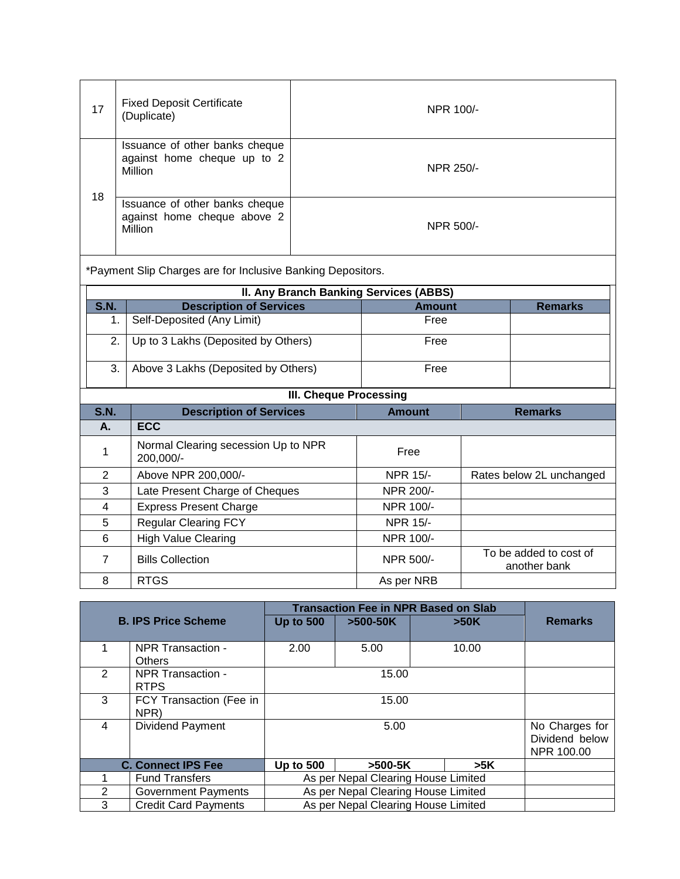| 17 | <b>Fixed Deposit Certificate</b><br>(Duplicate)                          | NPR 100/- |
|----|--------------------------------------------------------------------------|-----------|
|    | Issuance of other banks cheque<br>against home cheque up to 2<br>Million | NPR 250/- |
| 18 | Issuance of other banks cheque<br>against home cheque above 2<br>Million | NPR 500/- |

\*Payment Slip Charges are for Inclusive Banking Depositors.

|             | II. Any Branch Banking Services (ABBS) |               |                |  |  |  |
|-------------|----------------------------------------|---------------|----------------|--|--|--|
| <b>S.N.</b> | <b>Description of Services</b>         | <b>Amount</b> | <b>Remarks</b> |  |  |  |
|             | Self-Deposited (Any Limit)             | Free          |                |  |  |  |
| 2.          | Up to 3 Lakhs (Deposited by Others)    | Free          |                |  |  |  |
| 3.          | Above 3 Lakhs (Deposited by Others)    | Free          |                |  |  |  |

| <b>III. Cheque Processing</b> |  |  |
|-------------------------------|--|--|
|-------------------------------|--|--|

| <b>S.N.</b> | <b>Description of Services</b>                   | <b>Amount</b>   | <b>Remarks</b>                         |
|-------------|--------------------------------------------------|-----------------|----------------------------------------|
| А.          | <b>ECC</b>                                       |                 |                                        |
|             | Normal Clearing secession Up to NPR<br>200,000/- | Free            |                                        |
| 2           | Above NPR 200,000/-                              | <b>NPR 15/-</b> | Rates below 2L unchanged               |
| 3           | Late Present Charge of Cheques                   | NPR 200/-       |                                        |
| 4           | <b>Express Present Charge</b>                    | NPR 100/-       |                                        |
| 5           | <b>Regular Clearing FCY</b>                      | <b>NPR 15/-</b> |                                        |
| 6           | <b>High Value Clearing</b>                       | NPR 100/-       |                                        |
|             | <b>Bills Collection</b>                          | NPR 500/-       | To be added to cost of<br>another bank |
| 8           | <b>RTGS</b>                                      | As per NRB      |                                        |

|                            |                             |                                     | <b>Transaction Fee in NPR Based on Slab</b> |  |       |                |
|----------------------------|-----------------------------|-------------------------------------|---------------------------------------------|--|-------|----------------|
| <b>B. IPS Price Scheme</b> |                             | <b>Up to 500</b>                    | $>500-50K$                                  |  | >50K  | <b>Remarks</b> |
|                            |                             |                                     |                                             |  |       |                |
|                            | NPR Transaction -           | 2.00                                | 5.00                                        |  | 10.00 |                |
|                            | <b>Others</b>               |                                     |                                             |  |       |                |
| $\mathcal{P}$              | NPR Transaction -           |                                     | 15.00                                       |  |       |                |
|                            | <b>RTPS</b>                 |                                     |                                             |  |       |                |
| 3                          | FCY Transaction (Fee in     |                                     | 15.00                                       |  |       |                |
|                            | NPR)                        |                                     |                                             |  |       |                |
| $\overline{4}$             | Dividend Payment            |                                     | 5.00                                        |  |       | No Charges for |
|                            |                             |                                     |                                             |  |       | Dividend below |
|                            |                             |                                     |                                             |  |       | NPR 100.00     |
|                            | <b>C. Connect IPS Fee</b>   | <b>Up to 500</b>                    | $>500-5K$                                   |  | >5K   |                |
|                            | <b>Fund Transfers</b>       | As per Nepal Clearing House Limited |                                             |  |       |                |
| 2                          | <b>Government Payments</b>  | As per Nepal Clearing House Limited |                                             |  |       |                |
| 3                          | <b>Credit Card Payments</b> |                                     | As per Nepal Clearing House Limited         |  |       |                |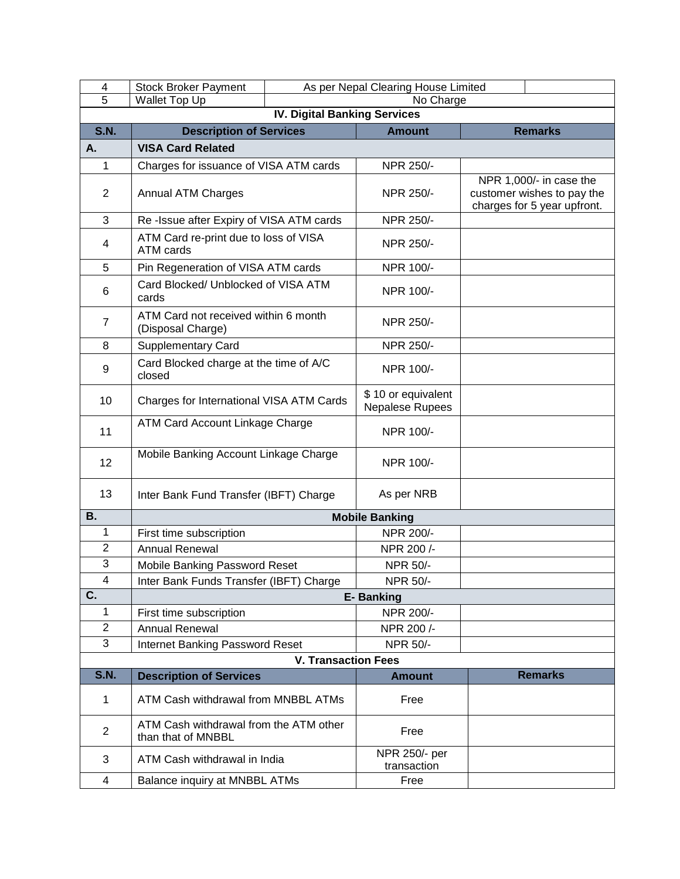| 4                         | <b>Stock Broker Payment</b>                                  | As per Nepal Clearing House Limited |                                       |                                                                                      |  |
|---------------------------|--------------------------------------------------------------|-------------------------------------|---------------------------------------|--------------------------------------------------------------------------------------|--|
| $\overline{5}$            | Wallet Top Up                                                | No Charge                           |                                       |                                                                                      |  |
|                           |                                                              | <b>IV. Digital Banking Services</b> |                                       |                                                                                      |  |
| <b>S.N.</b>               | <b>Description of Services</b>                               |                                     | <b>Amount</b>                         | <b>Remarks</b>                                                                       |  |
| Α.                        | <b>VISA Card Related</b>                                     |                                     |                                       |                                                                                      |  |
| $\mathbf{1}$              | Charges for issuance of VISA ATM cards                       |                                     | NPR 250/-                             |                                                                                      |  |
| 2                         | <b>Annual ATM Charges</b>                                    |                                     | NPR 250/-                             | NPR 1,000/- in case the<br>customer wishes to pay the<br>charges for 5 year upfront. |  |
| 3                         | Re-Issue after Expiry of VISA ATM cards                      |                                     | NPR 250/-                             |                                                                                      |  |
| 4                         | ATM Card re-print due to loss of VISA<br>ATM cards           |                                     | NPR 250/-                             |                                                                                      |  |
| 5                         | Pin Regeneration of VISA ATM cards                           |                                     | NPR 100/-                             |                                                                                      |  |
| 6                         | Card Blocked/ Unblocked of VISA ATM<br>cards                 |                                     | NPR 100/-                             |                                                                                      |  |
| $\overline{7}$            | ATM Card not received within 6 month<br>(Disposal Charge)    |                                     | NPR 250/-                             |                                                                                      |  |
| 8                         | <b>Supplementary Card</b>                                    |                                     | NPR 250/-                             |                                                                                      |  |
| 9                         | Card Blocked charge at the time of A/C<br>closed             |                                     | NPR 100/-                             |                                                                                      |  |
| 10                        | Charges for International VISA ATM Cards                     |                                     | \$10 or equivalent<br>Nepalese Rupees |                                                                                      |  |
| 11                        | ATM Card Account Linkage Charge                              |                                     | NPR 100/-                             |                                                                                      |  |
| 12                        | Mobile Banking Account Linkage Charge                        |                                     | NPR 100/-                             |                                                                                      |  |
| 13                        | Inter Bank Fund Transfer (IBFT) Charge                       |                                     | As per NRB                            |                                                                                      |  |
| <b>B.</b>                 |                                                              |                                     | <b>Mobile Banking</b>                 |                                                                                      |  |
| 1                         | First time subscription                                      |                                     | NPR 200/-                             |                                                                                      |  |
| $\overline{2}$            | Annual Renewal                                               |                                     | NPR 200/-                             |                                                                                      |  |
| $\overline{3}$            | Mobile Banking Password Reset                                |                                     | NPR 50/-                              |                                                                                      |  |
| 4                         | Inter Bank Funds Transfer (IBFT) Charge                      |                                     | NPR 50/-                              |                                                                                      |  |
| $\overline{\mathsf{C}}$ . |                                                              |                                     | <b>E-Banking</b>                      |                                                                                      |  |
| 1                         | First time subscription                                      |                                     | NPR 200/-                             |                                                                                      |  |
| $\overline{c}$            | Annual Renewal                                               |                                     | NPR 200/-                             |                                                                                      |  |
| 3                         | Internet Banking Password Reset                              |                                     | NPR 50/-                              |                                                                                      |  |
|                           |                                                              | <b>V. Transaction Fees</b>          |                                       |                                                                                      |  |
| <b>S.N.</b>               | <b>Description of Services</b>                               |                                     | <b>Amount</b>                         | <b>Remarks</b>                                                                       |  |
| 1                         | ATM Cash withdrawal from MNBBL ATMs                          |                                     | Free                                  |                                                                                      |  |
| $\overline{2}$            | ATM Cash withdrawal from the ATM other<br>than that of MNBBL |                                     | Free                                  |                                                                                      |  |
| 3                         | ATM Cash withdrawal in India                                 |                                     | NPR 250/- per<br>transaction          |                                                                                      |  |
| 4                         | Balance inquiry at MNBBL ATMs                                |                                     | Free                                  |                                                                                      |  |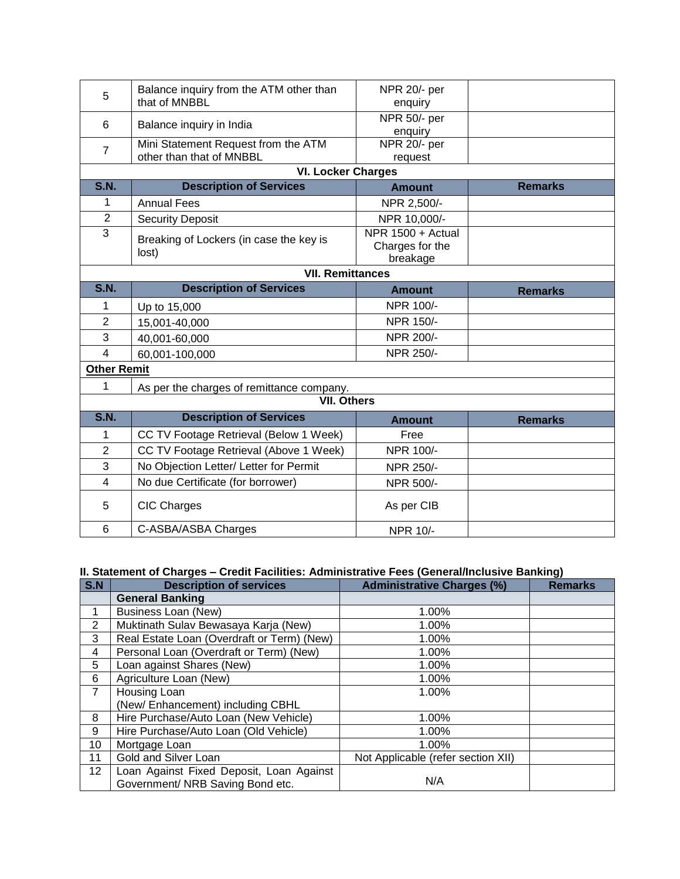| 5                  | Balance inquiry from the ATM other than<br>that of MNBBL | NPR 20/- per            |                |
|--------------------|----------------------------------------------------------|-------------------------|----------------|
|                    |                                                          | enquiry                 |                |
| 6                  | Balance inquiry in India                                 | NPR 50/- per            |                |
|                    | Mini Statement Request from the ATM                      | enquiry<br>NPR 20/- per |                |
| $\overline{7}$     | other than that of MNBBL                                 | request                 |                |
|                    | <b>VI. Locker Charges</b>                                |                         |                |
| <b>S.N.</b>        | <b>Description of Services</b>                           | <b>Amount</b>           | <b>Remarks</b> |
| 1                  | <b>Annual Fees</b>                                       | NPR 2,500/-             |                |
| $\overline{2}$     | <b>Security Deposit</b>                                  | NPR 10,000/-            |                |
| $\overline{3}$     | Breaking of Lockers (in case the key is                  | NPR 1500 + Actual       |                |
|                    | lost)                                                    | Charges for the         |                |
|                    |                                                          | breakage                |                |
|                    | <b>VII. Remittances</b>                                  |                         |                |
| <b>S.N.</b>        | <b>Description of Services</b>                           | <b>Amount</b>           | <b>Remarks</b> |
| 1                  | Up to 15,000                                             | NPR 100/-               |                |
| $\overline{2}$     | 15,001-40,000                                            | NPR 150/-               |                |
| 3                  | 40,001-60,000                                            | NPR 200/-               |                |
| 4                  | 60,001-100,000                                           | NPR 250/-               |                |
| <b>Other Remit</b> |                                                          |                         |                |
| 1                  | As per the charges of remittance company.                |                         |                |
|                    | <b>VII. Others</b>                                       |                         |                |
| S.N.               | <b>Description of Services</b>                           | <b>Amount</b>           | <b>Remarks</b> |
| 1                  | CC TV Footage Retrieval (Below 1 Week)                   | Free                    |                |
| $\overline{2}$     | CC TV Footage Retrieval (Above 1 Week)                   | NPR 100/-               |                |
| 3                  | No Objection Letter/ Letter for Permit                   | NPR 250/-               |                |
| $\overline{4}$     | No due Certificate (for borrower)                        | NPR 500/-               |                |
| 5                  | <b>CIC Charges</b>                                       | As per CIB              |                |
| 6                  | C-ASBA/ASBA Charges                                      | <b>NPR 10/-</b>         |                |

## **II. Statement of Charges – Credit Facilities: Administrative Fees (General/Inclusive Banking)**

| S.N             | <b>Description of services</b>             | <b>Administrative Charges (%)</b>  | <b>Remarks</b> |
|-----------------|--------------------------------------------|------------------------------------|----------------|
|                 | <b>General Banking</b>                     |                                    |                |
|                 | <b>Business Loan (New)</b>                 | 1.00%                              |                |
| 2               | Muktinath Sulav Bewasaya Karja (New)       | 1.00%                              |                |
| 3               | Real Estate Loan (Overdraft or Term) (New) | 1.00%                              |                |
| 4               | Personal Loan (Overdraft or Term) (New)    | 1.00%                              |                |
| 5               | Loan against Shares (New)                  | 1.00%                              |                |
| 6               | Agriculture Loan (New)                     | 1.00%                              |                |
| $\overline{7}$  | Housing Loan                               | 1.00%                              |                |
|                 | (New/Enhancement) including CBHL           |                                    |                |
| 8               | Hire Purchase/Auto Loan (New Vehicle)      | 1.00%                              |                |
| 9               | Hire Purchase/Auto Loan (Old Vehicle)      | 1.00%                              |                |
| 10              | Mortgage Loan                              | $1.00\%$                           |                |
| 11              | Gold and Silver Loan                       | Not Applicable (refer section XII) |                |
| 12 <sub>2</sub> | Loan Against Fixed Deposit, Loan Against   |                                    |                |
|                 | Government/ NRB Saving Bond etc.           | N/A                                |                |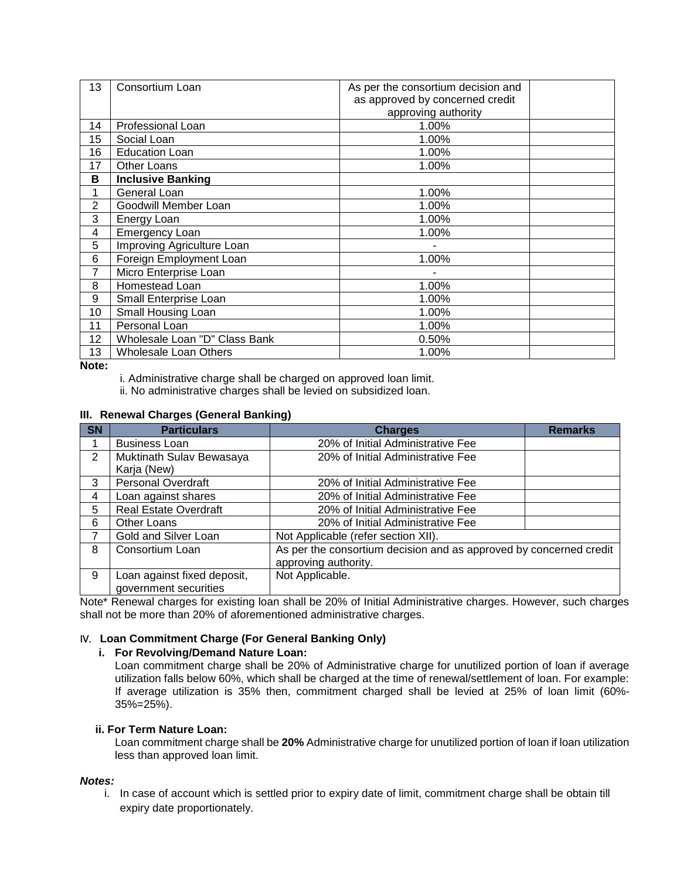| 13 | Consortium Loan               | As per the consortium decision and |  |
|----|-------------------------------|------------------------------------|--|
|    |                               | as approved by concerned credit    |  |
|    |                               | approving authority                |  |
| 14 | <b>Professional Loan</b>      | 1.00%                              |  |
| 15 | Social Loan                   | 1.00%                              |  |
| 16 | <b>Education Loan</b>         | 1.00%                              |  |
| 17 | <b>Other Loans</b>            | 1.00%                              |  |
| в  | <b>Inclusive Banking</b>      |                                    |  |
| 1  | General Loan                  | 1.00%                              |  |
| 2  | Goodwill Member Loan          | 1.00%                              |  |
| 3  | Energy Loan                   | 1.00%                              |  |
| 4  | <b>Emergency Loan</b>         | 1.00%                              |  |
| 5  | Improving Agriculture Loan    |                                    |  |
| 6  | Foreign Employment Loan       | 1.00%                              |  |
| 7  | Micro Enterprise Loan         |                                    |  |
| 8  | Homestead Loan                | 1.00%                              |  |
| 9  | Small Enterprise Loan         | 1.00%                              |  |
| 10 | Small Housing Loan            | 1.00%                              |  |
| 11 | Personal Loan                 | 1.00%                              |  |
| 12 | Wholesale Loan "D" Class Bank | 0.50%                              |  |
| 13 | Wholesale Loan Others         | 1.00%                              |  |

**Note:** 

i. Administrative charge shall be charged on approved loan limit.

ii. No administrative charges shall be levied on subsidized loan.

## **III. Renewal Charges (General Banking)**

| <b>SN</b> | <b>Particulars</b>                                   | <b>Charges</b>                                                                             | <b>Remarks</b> |
|-----------|------------------------------------------------------|--------------------------------------------------------------------------------------------|----------------|
|           | <b>Business Loan</b>                                 | 20% of Initial Administrative Fee                                                          |                |
| 2         | Muktinath Sulav Bewasaya<br>Karja (New)              | 20% of Initial Administrative Fee                                                          |                |
| 3         | <b>Personal Overdraft</b>                            | 20% of Initial Administrative Fee                                                          |                |
| 4         | Loan against shares                                  | 20% of Initial Administrative Fee                                                          |                |
| 5         | <b>Real Estate Overdraft</b>                         | 20% of Initial Administrative Fee                                                          |                |
| 6         | Other Loans                                          | 20% of Initial Administrative Fee                                                          |                |
|           | Gold and Silver Loan                                 | Not Applicable (refer section XII).                                                        |                |
| 8         | Consortium Loan                                      | As per the consortium decision and as approved by concerned credit<br>approving authority. |                |
| 9         | Loan against fixed deposit,<br>government securities | Not Applicable.                                                                            |                |

Note\* Renewal charges for existing loan shall be 20% of Initial Administrative charges. However, such charges shall not be more than 20% of aforementioned administrative charges.

## IV. **Loan Commitment Charge (For General Banking Only)**

#### **i. For Revolving/Demand Nature Loan:**

Loan commitment charge shall be 20% of Administrative charge for unutilized portion of loan if average utilization falls below 60%, which shall be charged at the time of renewal/settlement of loan. For example: If average utilization is 35% then, commitment charged shall be levied at 25% of loan limit (60%- 35%=25%).

## **ii. For Term Nature Loan:**

Loan commitment charge shall be **20%** Administrative charge for unutilized portion of loan if loan utilization less than approved loan limit.

#### *Notes:*

i. In case of account which is settled prior to expiry date of limit, commitment charge shall be obtain till expiry date proportionately.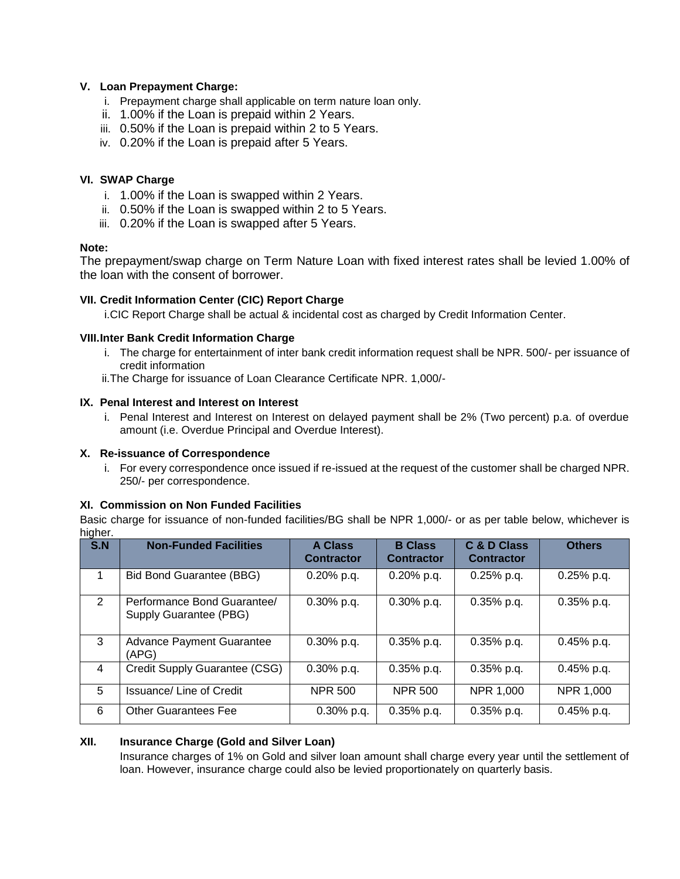## **V. Loan Prepayment Charge:**

- i. Prepayment charge shall applicable on term nature loan only.
- ii. 1.00% if the Loan is prepaid within 2 Years.
- iii. 0.50% if the Loan is prepaid within 2 to 5 Years.
- iv. 0.20% if the Loan is prepaid after 5 Years.

## **VI. SWAP Charge**

- i. 1.00% if the Loan is swapped within 2 Years.
- ii. 0.50% if the Loan is swapped within 2 to 5 Years.
- iii. 0.20% if the Loan is swapped after 5 Years.

#### **Note:**

The prepayment/swap charge on Term Nature Loan with fixed interest rates shall be levied 1.00% of the loan with the consent of borrower.

## **VII. Credit Information Center (CIC) Report Charge**

i.CIC Report Charge shall be actual & incidental cost as charged by Credit Information Center.

#### **VIII.Inter Bank Credit Information Charge**

- i. The charge for entertainment of inter bank credit information request shall be NPR. 500/- per issuance of credit information
- ii.The Charge for issuance of Loan Clearance Certificate NPR. 1,000/-

## **IX. Penal Interest and Interest on Interest**

i. Penal Interest and Interest on Interest on delayed payment shall be 2% (Two percent) p.a. of overdue amount (i.e. Overdue Principal and Overdue Interest).

#### **X. Re-issuance of Correspondence**

i. For every correspondence once issued if re-issued at the request of the customer shall be charged NPR. 250/- per correspondence.

#### **XI. Commission on Non Funded Facilities**

Basic charge for issuance of non-funded facilities/BG shall be NPR 1,000/- or as per table below, whichever is higher.

| S.N | <b>Non-Funded Facilities</b>                          | <b>A Class</b><br><b>Contractor</b> | <b>B</b> Class<br><b>Contractor</b> | C & D Class<br><b>Contractor</b> | <b>Others</b> |
|-----|-------------------------------------------------------|-------------------------------------|-------------------------------------|----------------------------------|---------------|
| 1   | <b>Bid Bond Guarantee (BBG)</b>                       | $0.20\%$ p.q.                       | $0.20\%$ p.q.                       | $0.25%$ p.q.                     | $0.25%$ p.q.  |
| 2   | Performance Bond Guarantee/<br>Supply Guarantee (PBG) | $0.30\%$ p.q.                       | $0.30\%$ p.q.                       | $0.35%$ p.q.                     | $0.35%$ p.q.  |
| 3   | <b>Advance Payment Guarantee</b><br>(APG)             | $0.30\%$ p.q.                       | $0.35%$ p.q.                        | $0.35%$ p.q.                     | $0.45%$ p.g.  |
| 4   | Credit Supply Guarantee (CSG)                         | $0.30\%$ p.q.                       | $0.35%$ p.q.                        | $0.35%$ p.q.                     | $0.45%$ p.q.  |
| 5   | <b>Issuance/Line of Credit</b>                        | <b>NPR 500</b>                      | <b>NPR 500</b>                      | NPR 1,000                        | NPR 1,000     |
| 6   | <b>Other Guarantees Fee</b>                           | $0.30\%$ p.q.                       | $0.35%$ p.q.                        | $0.35%$ p.q.                     | $0.45%$ p.q.  |

#### **XII. Insurance Charge (Gold and Silver Loan)**

Insurance charges of 1% on Gold and silver loan amount shall charge every year until the settlement of loan. However, insurance charge could also be levied proportionately on quarterly basis.